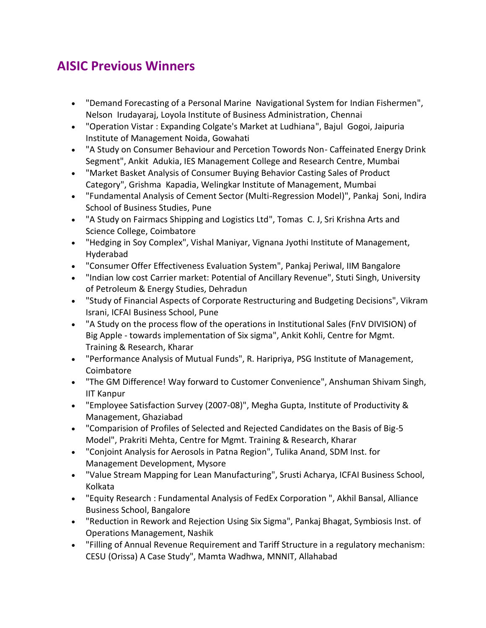## **AISIC Previous Winners**

- "Demand Forecasting of a Personal Marine Navigational System for Indian Fishermen", Nelson Irudayaraj, Loyola Institute of Business Administration, Chennai
- "Operation Vistar : Expanding Colgate's Market at Ludhiana", Bajul Gogoi, Jaipuria Institute of Management Noida, Gowahati
- "A Study on Consumer Behaviour and Percetion Towords Non- Caffeinated Energy Drink Segment", Ankit Adukia, IES Management College and Research Centre, Mumbai
- "Market Basket Analysis of Consumer Buying Behavior Casting Sales of Product Category", Grishma Kapadia, Welingkar Institute of Management, Mumbai
- "Fundamental Analysis of Cement Sector (Multi-Regression Model)", Pankaj Soni, Indira School of Business Studies, Pune
- "A Study on Fairmacs Shipping and Logistics Ltd", Tomas C. J, Sri Krishna Arts and Science College, Coimbatore
- "Hedging in Soy Complex", Vishal Maniyar, Vignana Jyothi Institute of Management, Hyderabad
- "Consumer Offer Effectiveness Evaluation System", Pankaj Periwal, IIM Bangalore
- "Indian low cost Carrier market: Potential of Ancillary Revenue", Stuti Singh, University of Petroleum & Energy Studies, Dehradun
- "Study of Financial Aspects of Corporate Restructuring and Budgeting Decisions", Vikram Israni, ICFAI Business School, Pune
- "A Study on the process flow of the operations in Institutional Sales (FnV DIVISION) of Big Apple - towards implementation of Six sigma", Ankit Kohli, Centre for Mgmt. Training & Research, Kharar
- "Performance Analysis of Mutual Funds", R. Haripriya, PSG Institute of Management, Coimbatore
- "The GM Difference! Way forward to Customer Convenience", Anshuman Shivam Singh, IIT Kanpur
- "Employee Satisfaction Survey (2007-08)", Megha Gupta, Institute of Productivity & Management, Ghaziabad
- "Comparision of Profiles of Selected and Rejected Candidates on the Basis of Big-5 Model", Prakriti Mehta, Centre for Mgmt. Training & Research, Kharar
- "Conjoint Analysis for Aerosols in Patna Region", Tulika Anand, SDM Inst. for Management Development, Mysore
- "Value Stream Mapping for Lean Manufacturing", Srusti Acharya, ICFAI Business School, Kolkata
- "Equity Research : Fundamental Analysis of FedEx Corporation ", Akhil Bansal, Alliance Business School, Bangalore
- "Reduction in Rework and Rejection Using Six Sigma", Pankaj Bhagat, Symbiosis Inst. of Operations Management, Nashik
- "Filling of Annual Revenue Requirement and Tariff Structure in a regulatory mechanism: CESU (Orissa) A Case Study", Mamta Wadhwa, MNNIT, Allahabad